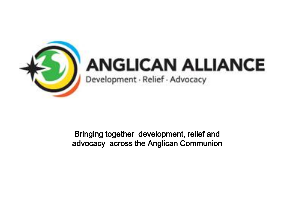

## **ANGLICAN ALLIANCE**

Development · Relief · Advocacy

Bringing together development, relief and advocacy across the Anglican Communion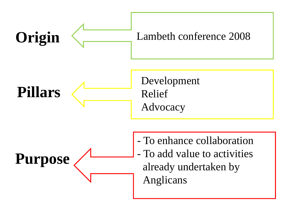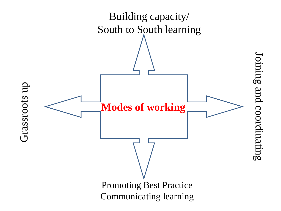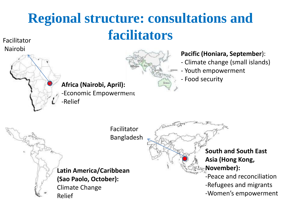## **Regional structure: consultations and facilitators**

Facilitator



## Nairobi **Pacific (Honiara, September**):

- Climate change (small islands)

**South and South East** 

-Peace and reconciliation

-Women's empowerment

-Refugees and migrants

**Asia (Hong Kong,** 

**November):**

- Youth empowerment
- Food security

**Africa (Nairobi, April):** -Economic Empowerment -Relief

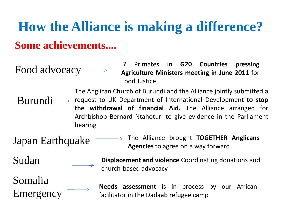## **How the Alliance is making a difference? Some achievements....**

Food advocacy

7 Primates in **G20 Countries pressing Agriculture Ministers meeting in June 2011** for Food Justice

Burundi  $\rightarrow$ The Anglican Church of Burundi and the Alliance jointly submitted a request to UK Department of International Development **to stop the withdrawal of financial Aid.** The Alliance arranged for Archbishop Bernard Ntahoturi to give evidence in the Parliament hearing

Japan Earthquake

The Alliance brought **TOGETHER Anglicans Agencies** to agree on a way forward

Sudan

Somalia Emergency **Displacement and violence** Coordinating donations and church-based advocacy

**Needs assessment** is in process by our African facilitator in the Dadaab refugee camp